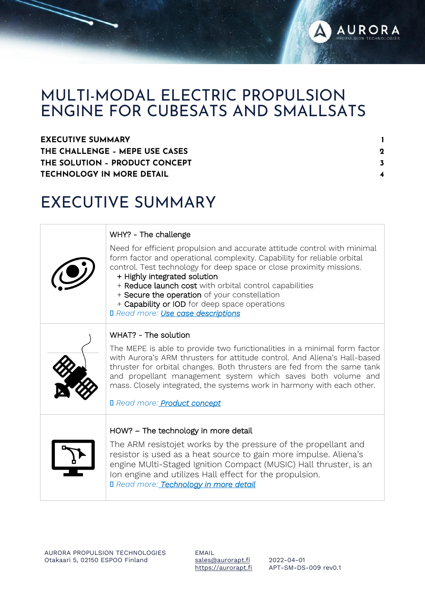

### MULTI-MODAL ELECTRIC PROPULSION ENGINE FOR CUBESATS AND SMALLSATS

| <b>EXECUTIVE SUMMARY</b>         |  |
|----------------------------------|--|
| THE CHALLENGE - MEPE USE CASES   |  |
| THE SOLUTION - PRODUCT CONCEPT   |  |
| <b>TECHNOLOGY IN MORE DETAIL</b> |  |

### EXECUTIVE SUMMARY

|  | WHY? - The challenge |  |
|--|----------------------|--|
|  |                      |  |

| Need for efficient propulsion and accurate attitude control with minimal<br>form factor and operational complexity. Capability for reliable orbital<br>control. Test technology for deep space or close proximity missions.<br>+ Highly integrated solution<br>+ Reduce launch cost with orbital control capabilities<br>+ Secure the operation of your constellation<br>+ Capability or IOD for deep space operations<br><b>I</b> Read more: Use case descriptions |
|---------------------------------------------------------------------------------------------------------------------------------------------------------------------------------------------------------------------------------------------------------------------------------------------------------------------------------------------------------------------------------------------------------------------------------------------------------------------|
| WHAT? - The solution<br>The MEPE is able to provide two functionalities in a minimal form factor<br>with Aurora's ARM thrusters for attitude control. And Aliena's Hall-based<br>thruster for orbital changes. Both thrusters are fed from the same tank<br>and propellant management system which saves both volume and<br>mass. Closely integrated, the systems work in harmony with each other.<br><b>I</b> Read more: <b>Product concept</b>                    |
| HOW? - The technology in more detail<br>The ARM resistojet works by the pressure of the propellant and<br>resistor is used as a heat source to gain more impulse. Aliena's<br>engine MUlti-Staged Ignition Compact (MUSIC) Hall thruster, is an<br>Ion engine and utilizes Hall effect for the propulsion.<br>Il Read more: Technology in more detail                                                                                                               |

EMAIL [sales@aurorapt.fi](mailto:sales@aurorapt.fi) [https://aurorapt.fi](https://aurorapt.fi/)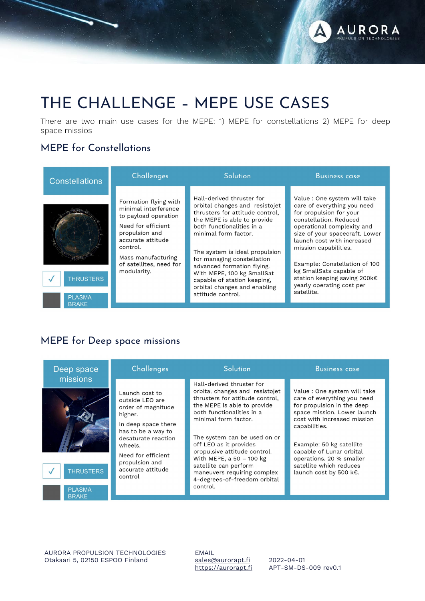

## THE CHALLENGE – MEPE USE CASES

There are two main use cases for the MEPE: 1) MEPE for constellations 2) MEPE for deep space missios

### MEPE for Constellations



#### MEPE for Deep space missions

| missions<br>Hall-derived thruster for<br>orbital changes and resistojet<br>Value : One system will take<br>Launch cost to<br>thrusters for attitude control.<br>care of everything you need<br>outside LEO are<br>for propulsion in the deep<br>the MEPE is able to provide<br>order of magnitude<br>space mission. Lower launch<br>both functionalities in a<br>higher.<br>cost with increased mission<br>minimal form factor.<br>In deep space there<br>capabilities.<br>has to be a way to<br>The system can be used on or<br>desaturate reaction<br>off LEO as it provides<br>Example: 50 kg satellite<br>wheels.<br>capable of Lunar orbital<br>propulsive attitude control.<br>Need for efficient<br>With MEPE, a 50 - 100 kg<br>operations. 20 % smaller<br>propulsion and<br>satellite which reduces<br>satellite can perform<br>accurate attitude<br><b>THRUSTERS</b><br>maneuvers requiring complex<br>launch cost by 500 k€.<br>control<br>4-degrees-of-freedom orbital |
|------------------------------------------------------------------------------------------------------------------------------------------------------------------------------------------------------------------------------------------------------------------------------------------------------------------------------------------------------------------------------------------------------------------------------------------------------------------------------------------------------------------------------------------------------------------------------------------------------------------------------------------------------------------------------------------------------------------------------------------------------------------------------------------------------------------------------------------------------------------------------------------------------------------------------------------------------------------------------------|
| control.<br><b>PLASMA</b><br><b>BRAKE</b>                                                                                                                                                                                                                                                                                                                                                                                                                                                                                                                                                                                                                                                                                                                                                                                                                                                                                                                                          |

AURORA PROPULSION TECHNOLOGIES Otakaari 5, 02150 ESPOO Finland

EMAIL [sales@aurorapt.fi](mailto:sales@aurorapt.fi) [https://aurorapt.fi](https://aurorapt.fi/)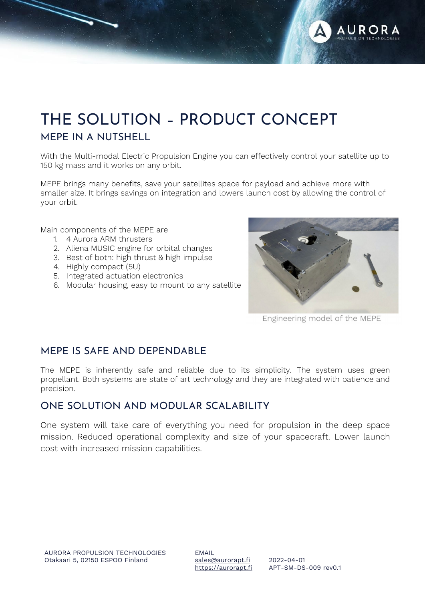

## THE SOLUTION – PRODUCT CONCEPT MEPE IN A NUTSHELL

With the Multi-modal Electric Propulsion Engine you can effectively control your satellite up to 150 kg mass and it works on any orbit.

MEPE brings many benefits, save your satellites space for payload and achieve more with smaller size. It brings savings on integration and lowers launch cost by allowing the control of your orbit.

Main components of the MEPE are

- 1. 4 Aurora ARM thrusters
- 2. Aliena MUSIC engine for orbital changes
- 3. Best of both: high thrust & high impulse
- 4. Highly compact (5U)
- 5. Integrated actuation electronics
- 6. Modular housing, easy to mount to any satellite



Engineering model of the MEPE

#### MEPE IS SAFE AND DEPENDABLE

The MEPE is inherently safe and reliable due to its simplicity. The system uses green propellant. Both systems are state of art technology and they are integrated with patience and precision.

#### ONE SOLUTION AND MODULAR SCALABILITY

One system will take care of everything you need for propulsion in the deep space mission. Reduced operational complexity and size of your spacecraft. Lower launch cost with increased mission capabilities.

EMAIL [sales@aurorapt.fi](mailto:sales@aurorapt.fi) [https://aurorapt.fi](https://aurorapt.fi/)